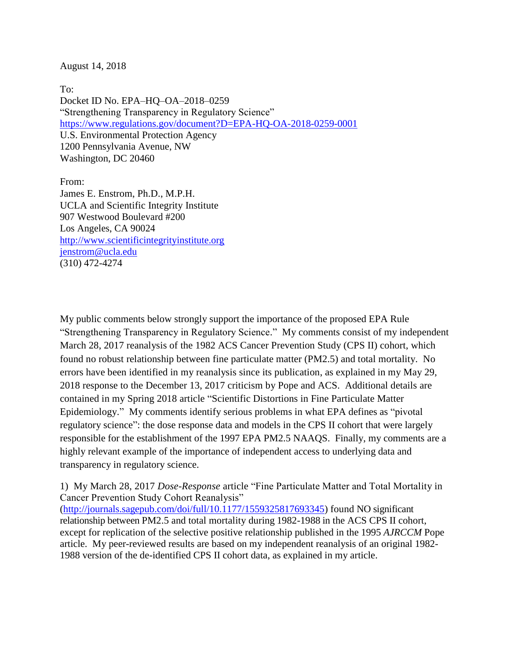August 14, 2018

To: Docket ID No. EPA–HQ–OA–2018–0259 "Strengthening Transparency in Regulatory Science" <https://www.regulations.gov/document?D=EPA-HQ-OA-2018-0259-0001> U.S. Environmental Protection Agency 1200 Pennsylvania Avenue, NW Washington, DC 20460

From: James E. Enstrom, Ph.D., M.P.H. UCLA and Scientific Integrity Institute 907 Westwood Boulevard #200 Los Angeles, CA 90024 [http://www.scientificintegrityinstitute.org](http://www.scientificintegrityinstitute.org/) [jenstrom@ucla.edu](mailto:jenstrom@ucla.edu) (310) 472-4274

My public comments below strongly support the importance of the proposed EPA Rule "Strengthening Transparency in Regulatory Science." My comments consist of my independent March 28, 2017 reanalysis of the 1982 ACS Cancer Prevention Study (CPS II) cohort, which found no robust relationship between fine particulate matter (PM2.5) and total mortality. No errors have been identified in my reanalysis since its publication, as explained in my May 29, 2018 response to the December 13, 2017 criticism by Pope and ACS. Additional details are contained in my Spring 2018 article "Scientific Distortions in Fine Particulate Matter Epidemiology." My comments identify serious problems in what EPA defines as "pivotal regulatory science": the dose response data and models in the CPS II cohort that were largely responsible for the establishment of the 1997 EPA PM2.5 NAAQS. Finally, my comments are a highly relevant example of the importance of independent access to underlying data and transparency in regulatory science.

1) My March 28, 2017 *Dose-Response* article "Fine Particulate Matter and Total Mortality in Cancer Prevention Study Cohort Reanalysis"

[\(http://journals.sagepub.com/doi/full/10.1177/1559325817693345\)](http://journals.sagepub.com/doi/full/10.1177/1559325817693345) found NO significant relationship between PM2.5 and total mortality during 1982-1988 in the ACS CPS II cohort, except for replication of the selective positive relationship published in the 1995 *AJRCCM* Pope article. My peer-reviewed results are based on my independent reanalysis of an original 1982- 1988 version of the de-identified CPS II cohort data, as explained in my article.